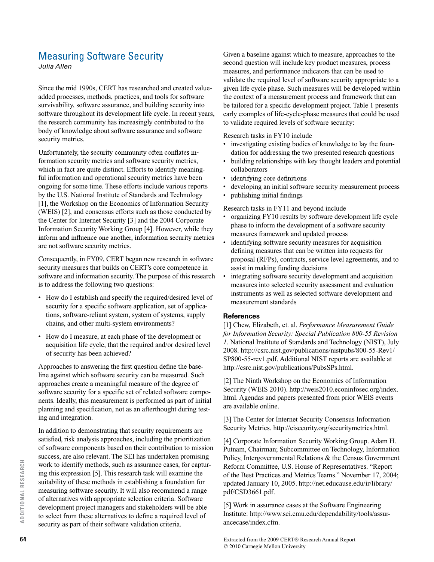## Measuring Software Security

*Julia Allen*

Since the mid 1990s, CERT has researched and created valueadded processes, methods, practices, and tools for software survivability, software assurance, and building security into software throughout its development life cycle. In recent years, the research community has increasingly contributed to the body of knowledge about software assurance and software security metrics.

Unfortunately, the security community often conflates information security metrics and software security metrics, which in fact are quite distinct. Efforts to identify meaningful information and operational security metrics have been ongoing for some time. These efforts include various reports by the U.S. National Institute of Standards and Technology [1], the Workshop on the Economics of Information Security (WEIS) [2], and consensus efforts such as those conducted by the Center for Internet Security [3] and the 2004 Corporate Information Security Working Group [4]. However, while they inform and influence one another, information security metrics are not software security metrics.

Consequently, in FY09, CERT began new research in software security measures that builds on CERT's core competence in software and information security. The purpose of this research is to address the following two questions:

- How do I establish and specify the required/desired level of security for a specific software application, set of applications, software-reliant system, system of systems, supply chains, and other multi-system environments?
- How do I measure, at each phase of the development or acquisition life cycle, that the required and/or desired level of security has been achieved?

Approaches to answering the first question define the baseline against which software security can be measured. Such approaches create a meaningful measure of the degree of software security for a specific set of related software components. Ideally, this measurement is performed as part of initial planning and specification, not as an afterthought during testing and integration.

In addition to demonstrating that security requirements are satisfied, risk analysis approaches, including the prioritization of software components based on their contribution to mission success, are also relevant. The SEI has undertaken promising work to identify methods, such as assurance cases, for capturing this expression [5]. This research task will examine the suitability of these methods in establishing a foundation for measuring software security. It will also recommend a range of alternatives with appropriate selection criteria. Software development project managers and stakeholders will be able to select from these alternatives to define a required level of security as part of their software validation criteria.

Given a baseline against which to measure, approaches to the second question will include key product measures, process measures, and performance indicators that can be used to validate the required level of software security appropriate to a given life cycle phase. Such measures will be developed within the context of a measurement process and framework that can be tailored for a specific development project. Table 1 presents early examples of life-cycle-phase measures that could be used to validate required levels of software security:

## Research tasks in FY10 include

- investigating existing bodies of knowledge to lay the foundation for addressing the two presented research questions
- building relationships with key thought leaders and potential collaborators
- identifying core definitions
- developing an initial software security measurement process
- publishing initial findings •

Research tasks in FY11 and beyond include

- organizing FY10 results by software development life cycle phase to inform the development of a software security measures framework and updated process
- identifying software security measures for acquisition defining measures that can be written into requests for proposal (RFPs), contracts, service level agreements, and to assist in making funding decisions
- integrating software security development and acquisition measures into selected security assessment and evaluation instruments as well as selected software development and measurement standards

## **References**

[1] Chew, Elizabeth, et. al. *Performance Measurement Guide for Information Security: Special Publication 800-55 Revision 1*. National Institute of Standards and Technology (NIST), July 2008. http://csrc.nist.gov/publications/nistpubs/800-55-Rev1/ SP800-55-rev1.pdf. Additional NIST reports are available at http://csrc.nist.gov/publications/PubsSPs.html.

[2] The Ninth Workshop on the Economics of Information Security (WEIS 2010). http://weis2010.econinfosec.org/index. html. Agendas and papers presented from prior WEIS events are available online.

[3] The Center for Internet Security Consensus Information Security Metrics. http://cisecurity.org/securitymetrics.html.

[4] Corporate Information Security Working Group. Adam H. Putnam, Chairman; Subcommittee on Technology, Information Policy, Intergovernmental Relations & the Census Government Reform Committee, U.S. House of Representatives. "Report of the Best Practices and Metrics Teams." November 17, 2004; updated January 10, 2005. http://net.educause.edu/ir/library/ pdf/CSD3661.pdf.

[5] Work in assurance cases at the Software Engineering Institute: http://www.sei.cmu.edu/dependability/tools/assurancecase/index.cfm.